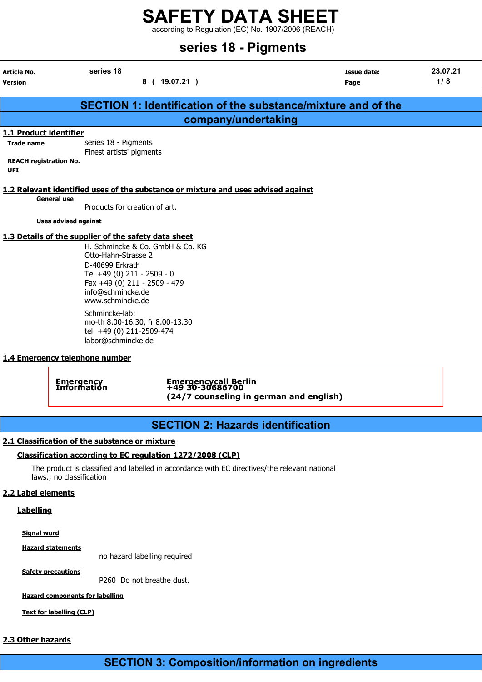according to Regulation (EC) No. 1907/2006 (REACH)

|                                             | series 18 - Pigments                                                                                                                                                                                                                                       |                                                                                    |                     |                 |  |  |
|---------------------------------------------|------------------------------------------------------------------------------------------------------------------------------------------------------------------------------------------------------------------------------------------------------------|------------------------------------------------------------------------------------|---------------------|-----------------|--|--|
| Article No.<br><b>Version</b>               | series 18                                                                                                                                                                                                                                                  | 8 ( 19.07.21 )                                                                     | Issue date:<br>Page | 23.07.21<br>1/8 |  |  |
|                                             |                                                                                                                                                                                                                                                            | <b>SECTION 1: Identification of the substance/mixture and of the</b>               |                     |                 |  |  |
|                                             |                                                                                                                                                                                                                                                            | company/undertaking                                                                |                     |                 |  |  |
| 1.1 Product identifier                      |                                                                                                                                                                                                                                                            |                                                                                    |                     |                 |  |  |
| <b>Trade name</b>                           | series 18 - Pigments<br>Finest artists' pigments                                                                                                                                                                                                           |                                                                                    |                     |                 |  |  |
| <b>REACH registration No.</b><br><b>UFI</b> |                                                                                                                                                                                                                                                            |                                                                                    |                     |                 |  |  |
|                                             |                                                                                                                                                                                                                                                            | 1.2 Relevant identified uses of the substance or mixture and uses advised against  |                     |                 |  |  |
|                                             | <b>General use</b><br>Products for creation of art.                                                                                                                                                                                                        |                                                                                    |                     |                 |  |  |
|                                             | <b>Uses advised against</b>                                                                                                                                                                                                                                |                                                                                    |                     |                 |  |  |
|                                             | 1.3 Details of the supplier of the safety data sheet<br>Otto-Hahn-Strasse 2<br>D-40699 Erkrath<br>Tel +49 (0) 211 - 2509 - 0<br>Fax +49 (0) 211 - 2509 - 479<br>info@schmincke.de<br>www.schmincke.de<br>Schmincke-lab:<br>mo-th 8.00-16.30, fr 8.00-13.30 | H. Schmincke & Co. GmbH & Co. KG                                                   |                     |                 |  |  |
|                                             | tel. +49 (0) 211-2509-474<br>labor@schmincke.de<br>1.4 Emergency telephone number                                                                                                                                                                          |                                                                                    |                     |                 |  |  |
|                                             | <b>Emergency</b><br>Information                                                                                                                                                                                                                            | Emergencycall Berlin<br>+49 30-30686700<br>(24/7 counseling in german and english) |                     |                 |  |  |

# SECTION 2: Hazards identification

### 2.1 Classification of the substance or mixture

### Classification according to EC regulation 1272/2008 (CLP)

The product is classified and labelled in accordance with EC directives/the relevant national laws.; no classification

### 2.2 Label elements

### **Labelling**

Signal word

Hazard statements

no hazard labelling required

**Safety precautions** 

P260 Do not breathe dust.

Hazard components for labelling

Text for labelling (CLP)

### 2.3 Other hazards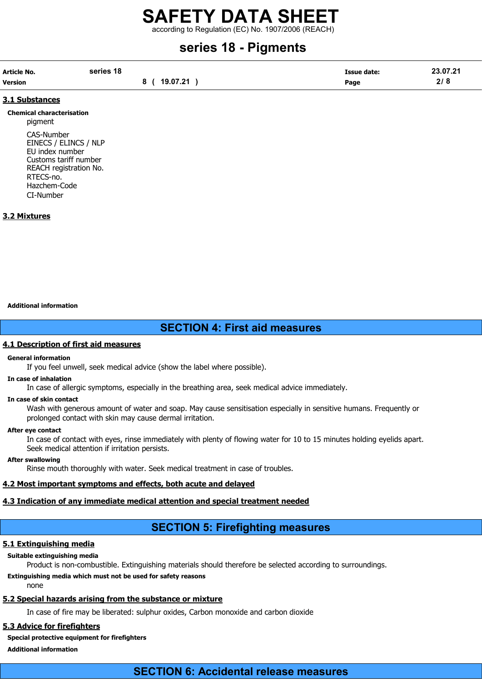according to Regulation (EC) No. 1907/2006 (REACH)

# series 18 - Pigments

| Article No.    | series 18 |              | <b>Issue date:</b> | 23.07.21 |
|----------------|-----------|--------------|--------------------|----------|
| <b>Version</b> |           | 8 ( 19.07.21 | Page               | 2/8      |

### 3.1 Substances

Chemical characterisation pigment CAS-Number EINECS / ELINCS / NLP EU index number Customs tariff number

REACH registration No. RTECS-no. Hazchem-Code CI-Number

### 3.2 Mixtures

#### Additional information

# SECTION 4: First aid measures

### 4.1 Description of first aid measures

### General information

If you feel unwell, seek medical advice (show the label where possible).

### In case of inhalation

In case of allergic symptoms, especially in the breathing area, seek medical advice immediately.

### In case of skin contact

Wash with generous amount of water and soap. May cause sensitisation especially in sensitive humans. Frequently or prolonged contact with skin may cause dermal irritation.

### After eye contact

In case of contact with eyes, rinse immediately with plenty of flowing water for 10 to 15 minutes holding eyelids apart. Seek medical attention if irritation persists.

### After swallowing

Rinse mouth thoroughly with water. Seek medical treatment in case of troubles.

## 4.2 Most important symptoms and effects, both acute and delayed

### 4.3 Indication of any immediate medical attention and special treatment needed

# SECTION 5: Firefighting measures

# 5.1 Extinguishing media

### Suitable extinguishing media

Product is non-combustible. Extinguishing materials should therefore be selected according to surroundings.

## Extinguishing media which must not be used for safety reasons

none

### 5.2 Special hazards arising from the substance or mixture

In case of fire may be liberated: sulphur oxides, Carbon monoxide and carbon dioxide

# 5.3 Advice for firefighters

### Special protective equipment for firefighters

Additional information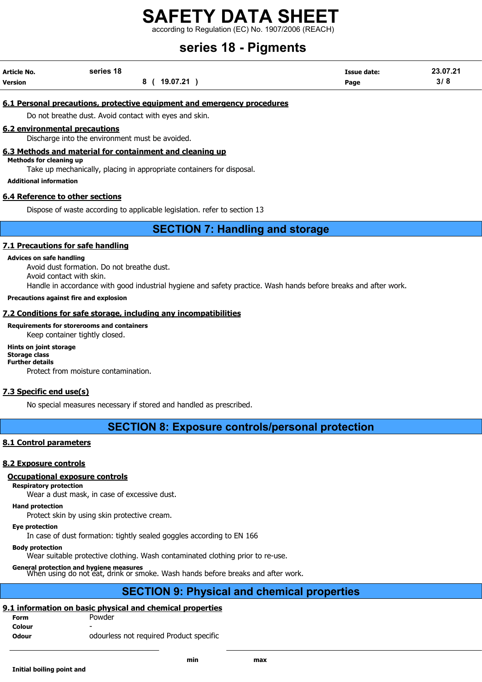according to Regulation (EC) No. 1907/2006 (REACH)

# series 18 - Pigments

| <b>Article No.</b> | series 18 |          | <b>Issue date:</b> | 23.07.21 |
|--------------------|-----------|----------|--------------------|----------|
| <b>Version</b>     |           | 19.07.21 | Page               | 3/8      |

### 6.1 Personal precautions, protective equipment and emergency procedures

Do not breathe dust. Avoid contact with eyes and skin.

### 6.2 environmental precautions

Discharge into the environment must be avoided.

### 6.3 Methods and material for containment and cleaning up

Methods for cleaning up

Take up mechanically, placing in appropriate containers for disposal.

### Additional information

### 6.4 Reference to other sections

Dispose of waste according to applicable legislation. refer to section 13

# SECTION 7: Handling and storage

### 7.1 Precautions for safe handling

### Advices on safe handling

Avoid dust formation. Do not breathe dust. Avoid contact with skin. Handle in accordance with good industrial hygiene and safety practice. Wash hands before breaks and after work.

### Precautions against fire and explosion

### 7.2 Conditions for safe storage, including any incompatibilities

Requirements for storerooms and containers

Keep container tightly closed.

Hints on joint storage Storage class Further details Protect from moisture contamination.

### 7.3 Specific end use(s)

No special measures necessary if stored and handled as prescribed.

## SECTION 8: Exposure controls/personal protection

### 8.1 Control parameters

### 8.2 Exposure controls

### Occupational exposure controls

### Respiratory protection

Wear a dust mask, in case of excessive dust.

### Hand protection

Protect skin by using skin protective cream.

### Eye protection

In case of dust formation: tightly sealed goggles according to EN 166

### Body protection

Wear suitable protective clothing. Wash contaminated clothing prior to re-use.

General protection and hygiene measures When using do not eat, drink or smoke. Wash hands before breaks and after work.

# SECTION 9: Physical and chemical properties

# 9.1 information on basic physical and chemical properties

- Form Powder **Colour**
- **Odour contracts** odourless not required Product specific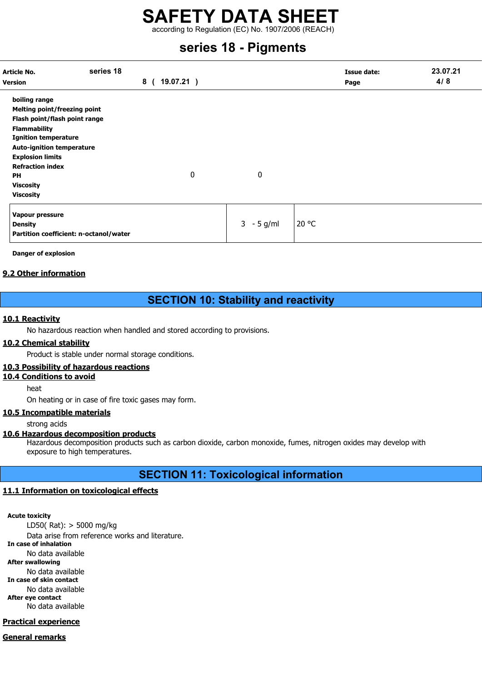according to Regulation (EC) No. 1907/2006 (REACH)

# series 18 - Pigments

| Article No.<br><b>Version</b>                                                                                                                                                                                                                                                       | series 18 | 8<br>19.07.21) |              |       | <b>Issue date:</b><br>Page | 23.07.21<br>4/8 |
|-------------------------------------------------------------------------------------------------------------------------------------------------------------------------------------------------------------------------------------------------------------------------------------|-----------|----------------|--------------|-------|----------------------------|-----------------|
| boiling range<br><b>Melting point/freezing point</b><br>Flash point/flash point range<br><b>Flammability</b><br><b>Ignition temperature</b><br><b>Auto-ignition temperature</b><br><b>Explosion limits</b><br><b>Refraction index</b><br>PH<br><b>Viscosity</b><br><b>Viscosity</b> |           | 0              | 0            |       |                            |                 |
| Vapour pressure<br><b>Density</b><br>Partition coefficient: n-octanol/water                                                                                                                                                                                                         |           |                | $3 - 5$ g/ml | 20 °C |                            |                 |

Danger of explosion

### 9.2 Other information

# SECTION 10: Stability and reactivity

### 10.1 Reactivity

No hazardous reaction when handled and stored according to provisions.

### 10.2 Chemical stability

Product is stable under normal storage conditions.

## 10.3 Possibility of hazardous reactions

### 10.4 Conditions to avoid

heat

On heating or in case of fire toxic gases may form.

### 10.5 Incompatible materials

strong acids

### 10.6 Hazardous decomposition products

Hazardous decomposition products such as carbon dioxide, carbon monoxide, fumes, nitrogen oxides may develop with exposure to high temperatures.

# SECTION 11: Toxicological information

## 11.1 Information on toxicological effects

Acute toxicity LD50( Rat): > 5000 mg/kg Data arise from reference works and literature. In case of inhalation No data available After swallowing No data available In case of skin contact No data available After eye contact No data available

# Practical experience

General remarks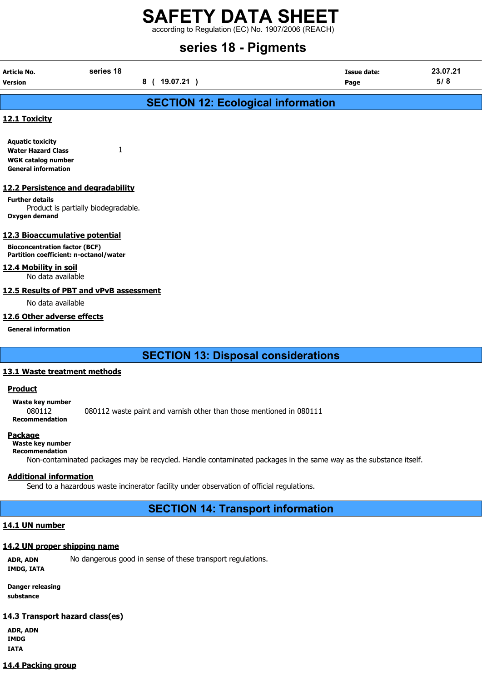according to Regulation (EC) No. 1907/2006 (REACH)

# series 18 - Pigments

| Article No.<br><b>Version</b>                                                                                            | series 18                           | 8 ( 19.07.21 ) |                                                                                                                  | <b>Issue date:</b><br>Page | 23.07.21<br>5/8 |
|--------------------------------------------------------------------------------------------------------------------------|-------------------------------------|----------------|------------------------------------------------------------------------------------------------------------------|----------------------------|-----------------|
|                                                                                                                          |                                     |                | <b>SECTION 12: Ecological information</b>                                                                        |                            |                 |
| 12.1 Toxicity                                                                                                            |                                     |                |                                                                                                                  |                            |                 |
| <b>Aquatic toxicity</b><br><b>Water Hazard Class</b><br><b>WGK catalog number</b><br><b>General information</b>          | 1                                   |                |                                                                                                                  |                            |                 |
| 12.2 Persistence and degradability<br><b>Further details</b><br>Oxygen demand                                            | Product is partially biodegradable. |                |                                                                                                                  |                            |                 |
| 12.3 Bioaccumulative potential<br><b>Bioconcentration factor (BCF)</b><br>Partition coefficient: n-octanol/water         |                                     |                |                                                                                                                  |                            |                 |
| 12.4 Mobility in soil<br>No data available                                                                               |                                     |                |                                                                                                                  |                            |                 |
| 12.5 Results of PBT and vPvB assessment<br>No data available<br>12.6 Other adverse effects<br><b>General information</b> |                                     |                |                                                                                                                  |                            |                 |
|                                                                                                                          |                                     |                | <b>SECTION 13: Disposal considerations</b>                                                                       |                            |                 |
| 13.1 Waste treatment methods                                                                                             |                                     |                |                                                                                                                  |                            |                 |
| <b>Product</b><br>Waste key number<br>080112<br><b>Recommendation</b>                                                    |                                     |                | 080112 waste paint and varnish other than those mentioned in 080111                                              |                            |                 |
| <b>Package</b><br>Waste key number<br><b>Recommendation</b>                                                              |                                     |                | Non-contaminated packages may be recycled. Handle contaminated packages in the same way as the substance itself. |                            |                 |
| <b>Additional information</b>                                                                                            |                                     |                | Send to a hazardous waste incinerator facility under observation of official regulations.                        |                            |                 |
|                                                                                                                          |                                     |                | <b>SECTION 14: Transport information</b>                                                                         |                            |                 |
| 14.1 UN number                                                                                                           |                                     |                |                                                                                                                  |                            |                 |
| 14.2 UN proper shipping name                                                                                             |                                     |                |                                                                                                                  |                            |                 |

ADR, ADN No dangerous good in sense of these transport regulations.

IMDG, IATA

Danger releasing substance

### 14.3 Transport hazard class(es)

ADR, ADN IMDG IATA

### 14.4 Packing group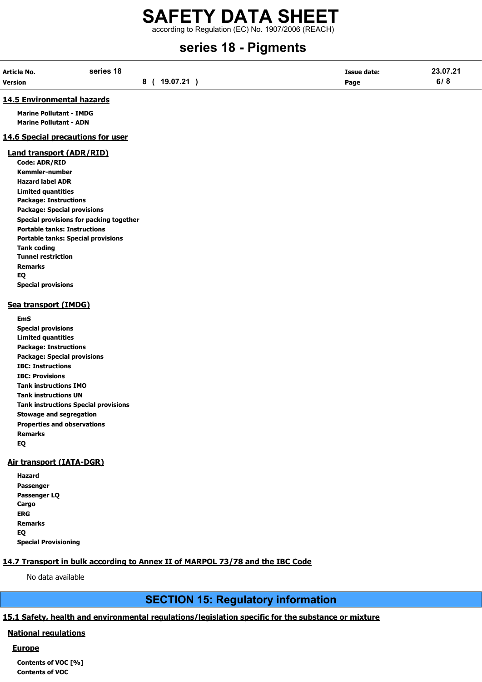# SAFETY DATA SHEET according to Regulation (EC) No. 1907/2006 (REACH)

# series 18 - Pigments

| <b>Article No.</b> | series 18      | <b>Issue date:</b> | 23.07.21 |
|--------------------|----------------|--------------------|----------|
| <b>Version</b>     | 19.07.21<br>80 | Page               | 6/8      |

### 14.5 Environmental hazards

Marine Pollutant - IMDG Marine Pollutant - ADN

### 14.6 Special precautions for user

### Land transport (ADR/RID)

Code: ADR/RID Kemmler-number Hazard label ADR Limited quantities Package: Instructions Package: Special provisions Special provisions for packing together Portable tanks: Instructions Portable tanks: Special provisions Tank coding Tunnel restriction Remarks EQ Special provisions

### Sea transport (IMDG)

EmS Special provisions Limited quantities Package: Instructions Package: Special provisions IBC: Instructions IBC: Provisions Tank instructions IMO Tank instructions UN Tank instructions Special provisions Stowage and segregation Properties and observations Remarks EQ

### Air transport (IATA-DGR)

| Hazard                      |
|-----------------------------|
| Passenger                   |
| Passenger LQ                |
| Cargo                       |
| ERG                         |
| <b>Remarks</b>              |
| EQ                          |
| <b>Special Provisioning</b> |

## 14.7 Transport in bulk according to Annex II of MARPOL 73/78 and the IBC Code

No data available

# SECTION 15: Regulatory information

# 15.1 Safety, health and environmental regulations/legislation specific for the substance or mixture

### National regulations

### **Europe**

Contents of VOC [%] Contents of VOC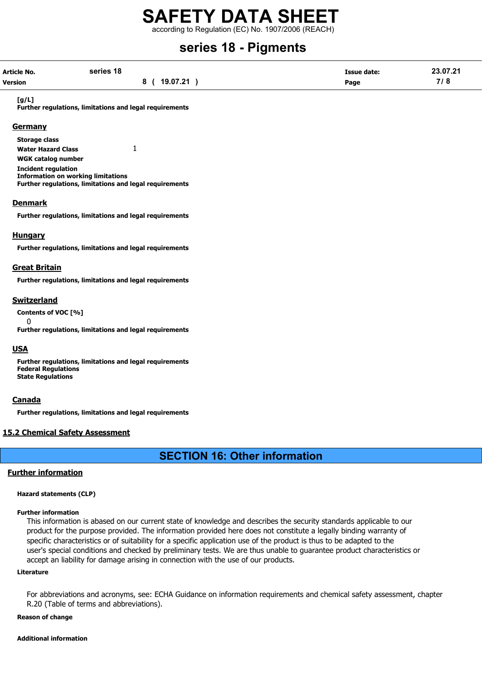according to Regulation (EC) No. 1907/2006 (REACH)

# series 18 - Pigments

| Article No. | series 18 |                 | <b>Issue date:</b> | 23.07.21 |
|-------------|-----------|-----------------|--------------------|----------|
| Version     |           | 19.07.21<br>8 ( | Page               | 7/8      |

#### [g/L]

Further regulations, limitations and legal requirements

### **Germany**

Storage class Water Hazard Class 1 WGK catalog number Incident regulation Information on working limitations Further regulations, limitations and legal requirements

### **Denmark**

Further regulations, limitations and legal requirements

### Hungary

Further regulations, limitations and legal requirements

### Great Britain

Further regulations, limitations and legal requirements

### Switzerland

 $\Omega$ 

Contents of VOC [%]

Further regulations, limitations and legal requirements

### **USA**

Further regulations, limitations and legal requirements Federal Regulations State Regulations

### **Canada**

Further regulations, limitations and legal requirements

### 15.2 Chemical Safety Assessment

# SECTION 16: Other information

### Further information

### Hazard statements (CLP)

#### Further information

This information is abased on our current state of knowledge and describes the security standards applicable to our product for the purpose provided. The information provided here does not constitute a legally binding warranty of specific characteristics or of suitability for a specific application use of the product is thus to be adapted to the user's special conditions and checked by preliminary tests. We are thus unable to guarantee product characteristics or accept an liability for damage arising in connection with the use of our products.

#### Literature

For abbreviations and acronyms, see: ECHA Guidance on information requirements and chemical safety assessment, chapter R.20 (Table of terms and abbreviations).

#### Reason of change

#### Additional information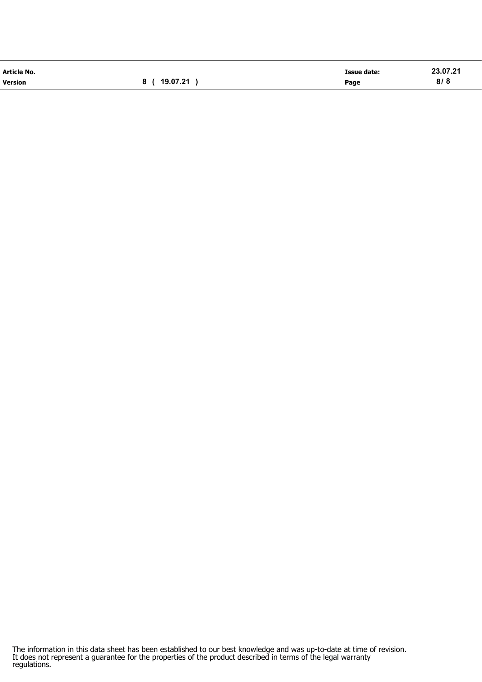| Article No.    |                 | <b>Issue date:</b> | 23.07.21 |
|----------------|-----------------|--------------------|----------|
| <b>Version</b> | 19.07.21<br>8 ( | Page               | 8/8      |

The information in this data sheet has been established to our best knowledge and was up-to-date at time of revision. It does not represent a guarantee for the properties of the product described in terms of the legal warranty regulations.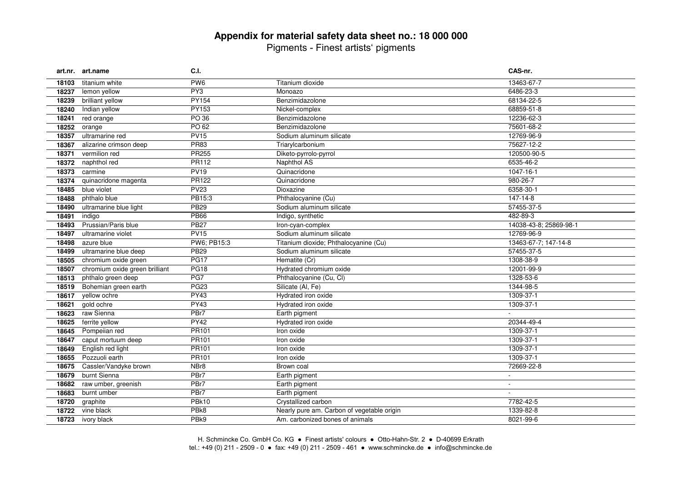# **Appendix for material safety data sheet no.: 18 000 000** Pigments - Finest artists' pigments

|       | art.nr. art.name               | <b>C.I.</b>      |                                            | CAS-nr.                |
|-------|--------------------------------|------------------|--------------------------------------------|------------------------|
| 18103 | titanium white                 | PW <sub>6</sub>  | Titanium dioxide                           | 13463-67-7             |
| 18237 | lemon yellow                   | PY <sub>3</sub>  | Monoazo                                    | 6486-23-3              |
| 18239 | brilliant yellow               | PY154            | Benzimidazolone                            | 68134-22-5             |
| 18240 | Indian yellow                  | <b>PY153</b>     | Nickel-complex                             | 68859-51-8             |
| 18241 | red orange                     | PO 36            | Benzimidazolone                            | 12236-62-3             |
| 18252 | orange                         | PO 62            | Benzimidazolone                            | 75601-68-2             |
| 18357 | ultramarine red                | <b>PV15</b>      | Sodium aluminum silicate                   | 12769-96-9             |
| 18367 | alizarine crimson deep         | <b>PR83</b>      | Triarylcarbonium                           | 75627-12-2             |
| 18371 | vermilion red                  | <b>PR255</b>     | Diketo-pyrrolo-pyrrol                      | 120500-90-5            |
| 18372 | naphthol red                   | PR112            | <b>Naphthol AS</b>                         | 6535-46-2              |
| 18373 | carmine                        | <b>PV19</b>      | Quinacridone                               | 1047-16-1              |
| 18374 | quinacridone magenta           | PR122            | Quinacridone                               | 980-26-7               |
| 18485 | blue violet                    | <b>PV23</b>      | Dioxazine                                  | 6358-30-1              |
| 18488 | phthalo blue                   | PB15:3           | Phthalocyanine (Cu)                        | 147-14-8               |
| 18490 | ultramarine blue light         | <b>PB29</b>      | Sodium aluminum silicate                   | 57455-37-5             |
| 18491 | indigo                         | <b>PB66</b>      | Indigo, synthetic                          | 482-89-3               |
| 18493 | Prussian/Paris blue            | <b>PB27</b>      | Iron-cyan-complex                          | 14038-43-8; 25869-98-1 |
| 18497 | ultramarine violet             | PV15             | Sodium aluminum silicate                   | 12769-96-9             |
| 18498 | azure blue                     | PW6; PB15:3      | Titanium dioxide; Phthalocyanine (Cu)      | 13463-67-7; 147-14-8   |
| 18499 | ultramarine blue deep          | <b>PB29</b>      | Sodium aluminum silicate                   | 57455-37-5             |
| 18505 | chromium oxide green           | <b>PG17</b>      | Hematite (Cr)                              | 1308-38-9              |
| 18507 | chromium oxide green brilliant | PG18             | Hydrated chromium oxide                    | 12001-99-9             |
| 18513 | phthalo green deep             | PG7              | Phthalocyanine (Cu, Cl)                    | 1328-53-6              |
| 18519 | Bohemian green earth           | <b>PG23</b>      | Silicate (Al, Fe)                          | 1344-98-5              |
| 18617 | yellow ochre                   | <b>PY43</b>      | Hydrated iron oxide                        | 1309-37-1              |
| 18621 | gold ochre                     | PY43             | Hydrated iron oxide                        | 1309-37-1              |
| 18623 | raw Sienna                     | PBr7             | Earth pigment                              |                        |
| 18625 | ferrite yellow                 | <b>PY42</b>      | Hydrated iron oxide                        | 20344-49-4             |
| 18645 | Pompeiian red                  | <b>PR101</b>     | Iron oxide                                 | 1309-37-1              |
| 18647 | caput mortuum deep             | PR101            | Iron oxide                                 | 1309-37-1              |
| 18649 | English red light              | <b>PR101</b>     | Iron oxide                                 | 1309-37-1              |
| 18655 | Pozzuoli earth                 | PR101            | Iron oxide                                 | 1309-37-1              |
| 18675 | Cassler/Vandyke brown          | NBr8             | Brown coal                                 | 72669-22-8             |
| 18679 | burnt Sienna                   | PBr7             | Earth pigment                              | $\sim$                 |
| 18682 | raw umber, greenish            | PBr7             | Earth pigment                              | $\sim$                 |
| 18683 | burnt umber                    | PBr7             | Earth pigment                              |                        |
| 18720 | graphite                       | PBk10            | Crystallized carbon                        | 7782-42-5              |
| 18722 | vine black                     | PBk8             | Nearly pure am. Carbon of vegetable origin | 1339-82-8              |
| 18723 | ivory black                    | PB <sub>k9</sub> | Am. carbonized bones of animals            | 8021-99-6              |

H. Schmincke Co. GmbH Co. KG ● Finest artists' colours ● Otto-Hahn-Str. 2 ● D-40699 Erkrath tel.: +49 (0) 211 - 2509 - 0 ● fax: +49 (0) 211 - 2509 - 461 ● www.schmincke.de ● info@schmincke.de